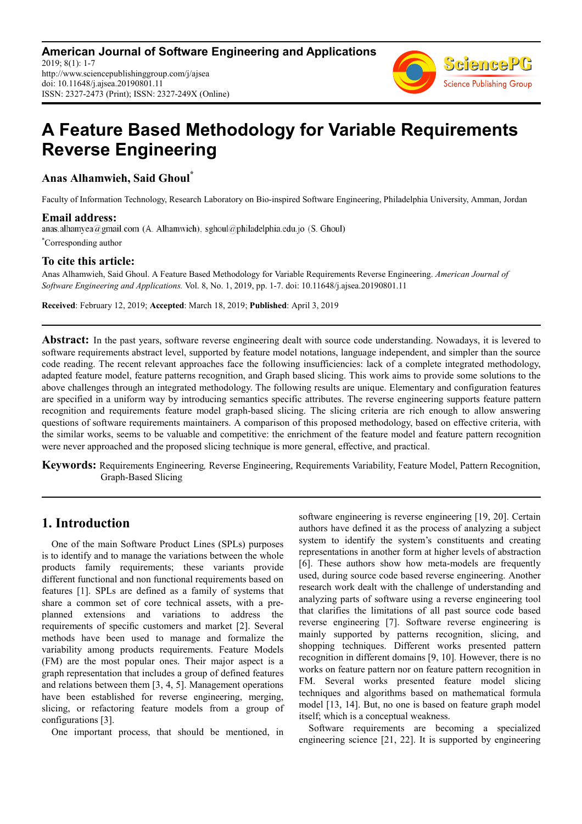

# **A Feature Based Methodology for Variable Requirements Reverse Engineering**

**Anas Alhamwieh, Said Ghoul\***

Faculty of Information Technology, Research Laboratory on Bio-inspired Software Engineering, Philadelphia University, Amman, Jordan

**Email address:**<br>anas.alhamyea@gmail.com (A. Alhamwieh), sghoul@philadelphia.edu.jo (S. Ghoul) \*Corresponding author

# **To cite this article:**

Anas Alhamwieh, Said Ghoul. A Feature Based Methodology for Variable Requirements Reverse Engineering. *American Journal of Software Engineering and Applications.* Vol. 8, No. 1, 2019, pp. 1-7. doi: 10.11648/j.ajsea.20190801.11

**Received**: February 12, 2019; **Accepted**: March 18, 2019; **Published**: April 3, 2019

**Abstract:** In the past years, software reverse engineering dealt with source code understanding. Nowadays, it is levered to software requirements abstract level, supported by feature model notations, language independent, and simpler than the source code reading. The recent relevant approaches face the following insufficiencies: lack of a complete integrated methodology, adapted feature model, feature patterns recognition, and Graph based slicing. This work aims to provide some solutions to the above challenges through an integrated methodology. The following results are unique. Elementary and configuration features are specified in a uniform way by introducing semantics specific attributes. The reverse engineering supports feature pattern recognition and requirements feature model graph-based slicing. The slicing criteria are rich enough to allow answering questions of software requirements maintainers. A comparison of this proposed methodology, based on effective criteria, with the similar works, seems to be valuable and competitive: the enrichment of the feature model and feature pattern recognition were never approached and the proposed slicing technique is more general, effective, and practical.

**Keywords:** Requirements Engineering*,* Reverse Engineering, Requirements Variability, Feature Model, Pattern Recognition, Graph-Based Slicing

# **1. Introduction**

One of the main Software Product Lines (SPLs) purposes is to identify and to manage the variations between the whole products family requirements; these variants provide different functional and non functional requirements based on features [1]. SPLs are defined as a family of systems that share a common set of core technical assets, with a preplanned extensions and variations to address the requirements of specific customers and market [2]. Several methods have been used to manage and formalize the variability among products requirements. Feature Models (FM) are the most popular ones. Their major aspect is a graph representation that includes a group of defined features and relations between them [3, 4, 5]. Management operations have been established for reverse engineering, merging, slicing, or refactoring feature models from a group of configurations [3].

One important process, that should be mentioned, in

software engineering is reverse engineering [19, 20]. Certain authors have defined it as the process of analyzing a subject system to identify the system's constituents and creating representations in another form at higher levels of abstraction [6]. These authors show how meta-models are frequently used, during source code based reverse engineering. Another research work dealt with the challenge of understanding and analyzing parts of software using a reverse engineering tool that clarifies the limitations of all past source code based reverse engineering [7]. Software reverse engineering is mainly supported by patterns recognition, slicing, and shopping techniques. Different works presented pattern recognition in different domains [9, 10]*.* However, there is no works on feature pattern nor on feature pattern recognition in FM. Several works presented feature model slicing techniques and algorithms based on mathematical formula model [13, 14]. But, no one is based on feature graph model itself; which is a conceptual weakness.

Software requirements are becoming a specialized engineering science [21, 22]. It is supported by engineering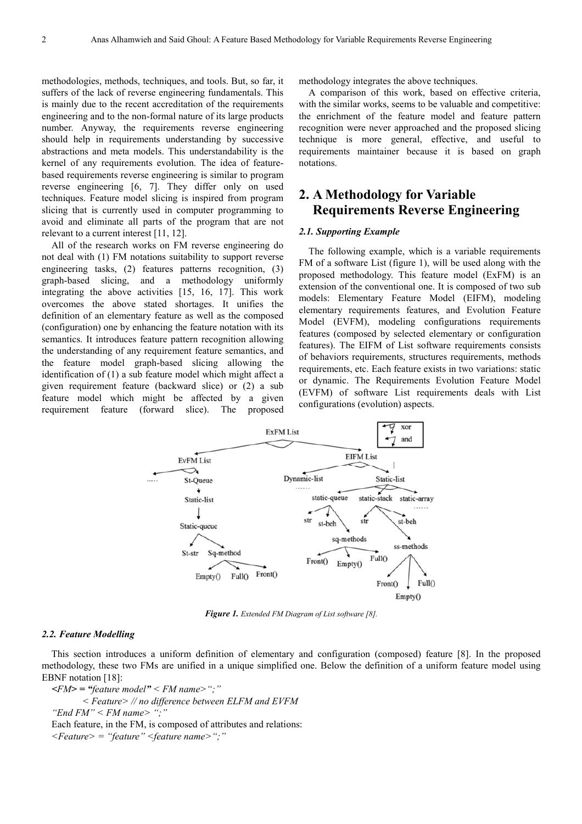methodologies, methods, techniques, and tools. But, so far, it suffers of the lack of reverse engineering fundamentals. This is mainly due to the recent accreditation of the requirements engineering and to the non-formal nature of its large products number. Anyway, the requirements reverse engineering should help in requirements understanding by successive abstractions and meta models. This understandability is the kernel of any requirements evolution. The idea of featurebased requirements reverse engineering is similar to program reverse engineering [6, 7]. They differ only on used techniques. Feature model slicing is inspired from program slicing that is currently used in computer programming to avoid and eliminate all parts of the program that are not relevant to a current interest [11, 12].

All of the research works on FM reverse engineering do not deal with (1) FM notations suitability to support reverse engineering tasks, (2) features patterns recognition, (3) graph-based slicing, and a methodology uniformly integrating the above activities [15, 16, 17]. This work overcomes the above stated shortages. It unifies the definition of an elementary feature as well as the composed (configuration) one by enhancing the feature notation with its semantics. It introduces feature pattern recognition allowing the understanding of any requirement feature semantics, and the feature model graph-based slicing allowing the identification of (1) a sub feature model which might affect a given requirement feature (backward slice) or (2) a sub feature model which might be affected by a given requirement feature (forward slice). The proposed methodology integrates the above techniques.

A comparison of this work, based on effective criteria, with the similar works, seems to be valuable and competitive: the enrichment of the feature model and feature pattern recognition were never approached and the proposed slicing technique is more general, effective, and useful to requirements maintainer because it is based on graph notations.

# **2. A Methodology for Variable Requirements Reverse Engineering**

#### *2.1. Supporting Example*

The following example, which is a variable requirements FM of a software List (figure 1), will be used along with the proposed methodology. This feature model (ExFM) is an extension of the conventional one. It is composed of two sub models: Elementary Feature Model (EIFM), modeling elementary requirements features, and Evolution Feature Model (EVFM), modeling configurations requirements features (composed by selected elementary or configuration features). The EIFM of List software requirements consists of behaviors requirements, structures requirements, methods requirements, etc. Each feature exists in two variations: static or dynamic. The Requirements Evolution Feature Model (EVFM) of software List requirements deals with List configurations (evolution) aspects.



*Figure 1. Extended FM Diagram of List software [8].* 

#### *2.2. Feature Modelling*

This section introduces a uniform definition of elementary and configuration (composed) feature [8]. In the proposed methodology, these two FMs are unified in a unique simplified one. Below the definition of a uniform feature model using EBNF notation [18]:

*<FM> = "feature model" < FM name>";" < Feature> // no difference between ELFM and EVFM "End FM" < FM name> ";"*  Each feature, in the FM, is composed of attributes and relations: *<Feature> = "feature" <feature name>";"*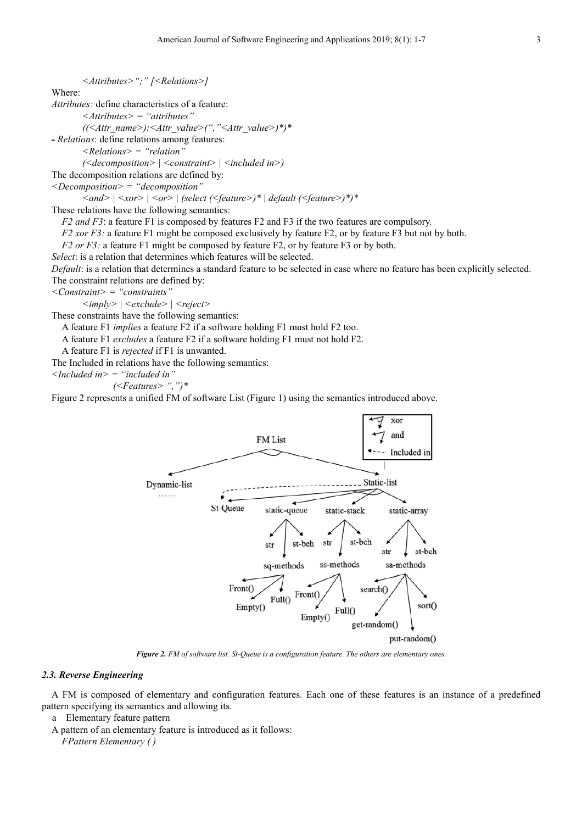#### *<Attributes>";" [<Relations>]*

Where:

*Attributes:* define characteristics of a feature:

*<Attributes> = "attributes"* 

*((<Attr\_name>):<Attr\_value>(","<Attr\_value>)\*)\** 

*- Relations*: define relations among features:

*<Relations> = "relation"* 

*(<decomposition> | <constraint> | <included in>)* 

The decomposition relations are defined by:

*<Decomposition> = "decomposition"* 

*<and> | <xor> | <or> | (select (<feature>)\* | default (<feature>)\*)\** 

These relations have the following semantics:

*F2 and F3*: a feature F1 is composed by features F2 and F3 if the two features are compulsory.

*F2 xor F3:* a feature F1 might be composed exclusively by feature F2, or by feature F3 but not by both.

*F2 or F3:* a feature F1 might be composed by feature F2, or by feature F3 or by both.

*Select*: is a relation that determines which features will be selected.

*Default*: is a relation that determines a standard feature to be selected in case where no feature has been explicitly selected. The constraint relations are defined by:

*<Constraint> = "constraints"* 

*<imply> | <exclude> | <reject>* 

These constraints have the following semantics:

A feature F1 *implies* a feature F2 if a software holding F1 must hold F2 too.

A feature F1 *excludes* a feature F2 if a software holding F1 must not hold F2.

A feature F1 is *rejected* if F1 is unwanted.

The Included in relations have the following semantics:

*<Included in> = "included in"* 

*(<Features> ",")\** 

Figure 2 represents a unified FM of software List (Figure 1) using the semantics introduced above.



*Figure 2. FM of software list. St-Queue is a configuration feature. The others are elementary ones.* 

#### *2.3. Reverse Engineering*

A FM is composed of elementary and configuration features. Each one of these features is an instance of a predefined pattern specifying its semantics and allowing its.

a Elementary feature pattern

A pattern of an elementary feature is introduced as it follows:

*FPattern Elementary ( )*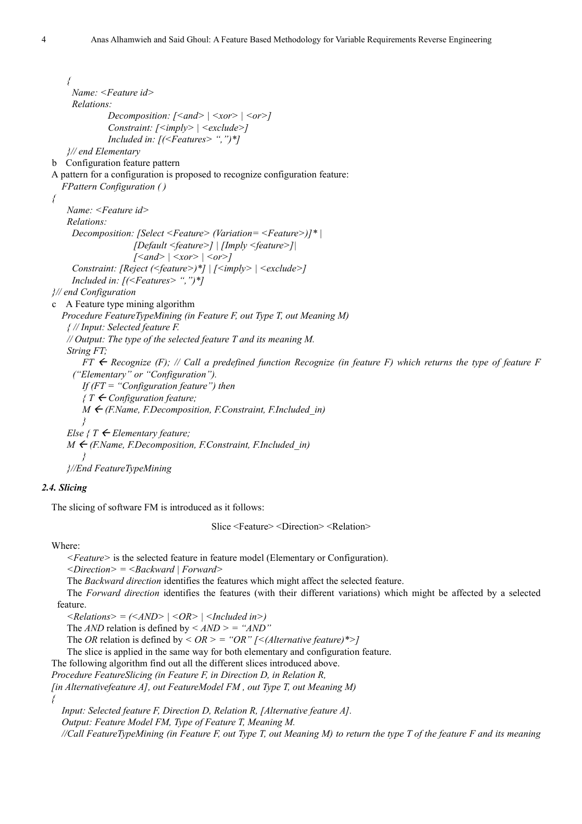*{ Name: <Feature id> Relations: Decomposition:*  $\lceil \langle \text{and} \rangle \rceil \langle \text{for} \rangle \rceil \langle \text{or} \rangle$ *Constraint: [<imply> | <exclude>] Included in: [(<Features> ",")\*] }// end Elementary*  b Configuration feature pattern A pattern for a configuration is proposed to recognize configuration feature: *FPattern Configuration ( ) { Name: <Feature id> Relations: Decomposition: [Select <Feature> (Variation= <Feature>)]\* | [Default <feature>] | [Imply <feature>]| [<and> | <xor> | <or>] Constraint: [Reject (<feature>)\*] | [<imply> | <exclude>] Included in: [(<Features> ",")\*] }// end Configuration*  c A Feature type mining algorithm *Procedure FeatureTypeMining (in Feature F, out Type T, out Meaning M) { // Input: Selected feature F. // Output: The type of the selected feature T and its meaning M. String FT;*   $FT \leftarrow$  Recognize (F); // Call a predefined function Recognize (in feature F) which returns the type of feature F *("Elementary" or "Configuration"). If (FT = "Configuration feature") then { T Configuration feature; M* ← (*F.Name, F.Decomposition, F.Constraint, F.Included\_in*) *} Else*  $\{T \in \mathbb{R} \mid T \leq T\}$  *Elementary feature;*  $M \leftarrow$  (F.Name, F.Decomposition, F.Constraint, F.Included in) *} }//End FeatureTypeMining*

#### *2.4. Slicing*

The slicing of software FM is introduced as it follows:

Slice <Feature> <Direction> <Relation>

Where:

*{* 

*<Feature>* is the selected feature in feature model (Elementary or Configuration).

*<Direction> = <Backward | Forward>* 

The *Backward direction* identifies the features which might affect the selected feature.

The *Forward direction* identifies the features (with their different variations) which might be affected by a selected feature.

*<Relations> = (<AND> | <OR> | <Included in>)*

The *AND* relation is defined by  $\langle$  *AND*  $\rangle$  = "*AND*"

The *OR* relation is defined by *< OR > = "OR" [<(Alternative feature)\*>]* 

The slice is applied in the same way for both elementary and configuration feature.

The following algorithm find out all the different slices introduced above.

*Procedure FeatureSlicing (in Feature F, in Direction D, in Relation R,* 

*[in Alternativefeature A], out FeatureModel FM , out Type T, out Meaning M)* 

*Input: Selected feature F, Direction D, Relation R, [Alternative feature A].* 

*Output: Feature Model FM, Type of Feature T, Meaning M.* 

*//Call FeatureTypeMining (in Feature F, out Type T, out Meaning M) to return the type T of the feature F and its meaning*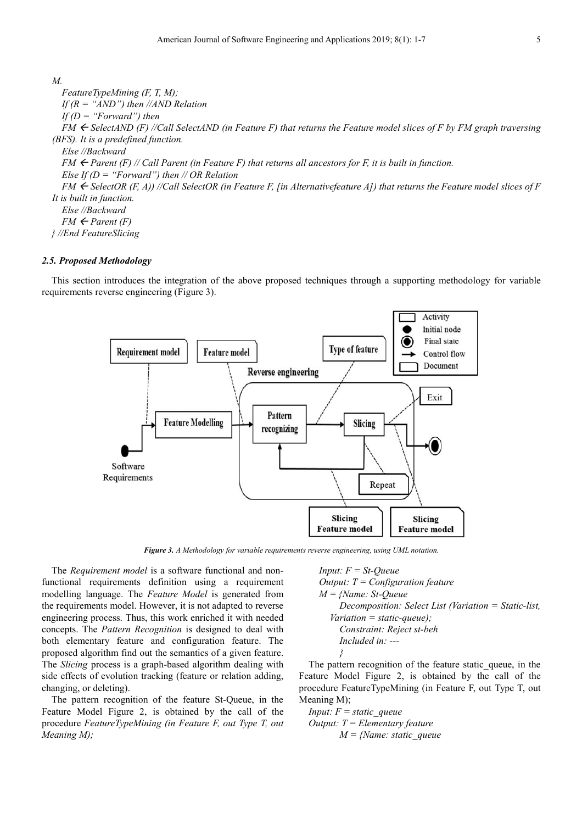#### *M.*

*FeatureTypeMining (F, T, M); If (R = "AND") then //AND Relation If (D = "Forward") then*   $FM \leftarrow$  SelectAND (F) //Call SelectAND (in Feature F) that returns the Feature model slices of F by FM graph traversing *(BFS). It is a predefined function. Else //Backward FM*  $\leftarrow$  *Parent (F) // Call Parent (in Feature F) that returns all ancestors for F, it is built in function. Else If (D = "Forward") then // OR Relation*   $FM \leftarrow$  SelectOR (F, A)) //Call SelectOR (in Feature F, [in Alternativefeature A]) that returns the Feature model slices of F *It is built in function. Else //Backward*   $FM \leftarrow Parent(F)$ *} //End FeatureSlicing* 

#### *2.5. Proposed Methodology*

This section introduces the integration of the above proposed techniques through a supporting methodology for variable requirements reverse engineering (Figure 3).



*Figure 3. A Methodology for variable requirements reverse engineering, using UML notation.* 

The *Requirement model* is a software functional and nonfunctional requirements definition using a requirement modelling language. The *Feature Model* is generated from the requirements model. However, it is not adapted to reverse engineering process. Thus, this work enriched it with needed concepts. The *Pattern Recognition* is designed to deal with both elementary feature and configuration feature. The proposed algorithm find out the semantics of a given feature. The *Slicing* process is a graph-based algorithm dealing with side effects of evolution tracking (feature or relation adding, changing, or deleting).

The pattern recognition of the feature St-Queue, in the Feature Model Figure 2, is obtained by the call of the procedure *FeatureTypeMining (in Feature F, out Type T, out Meaning M);* 

*Input: F = St-Queue Output: T = Configuration feature M = {Name: St-Queue Decomposition: Select List (Variation = Static-list, Variation = static-queue); Constraint: Reject st-beh Included in: --- }* 

The pattern recognition of the feature static\_queue, in the Feature Model Figure 2, is obtained by the call of the procedure FeatureTypeMining (in Feature F, out Type T, out Meaning M);

*Input: F = static\_queue Output: T = Elementary feature M = {Name: static\_queue*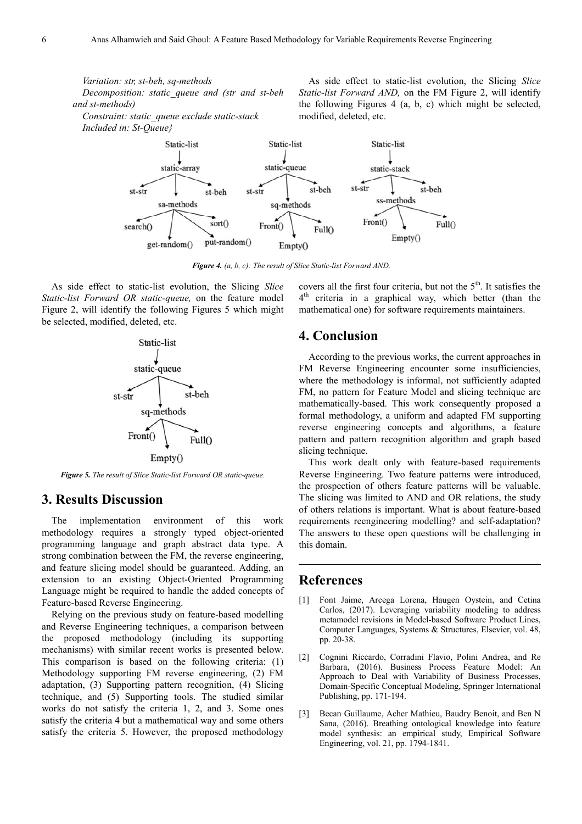*Variation: str, st-beh, sq-methods* 

*Decomposition: static\_queue and (str and st-beh and st-methods)* 

*Constraint: static\_queue exclude static-stack Included in: St-Queue}* 

As side effect to static-list evolution, the Slicing *Slice Static-list Forward AND,* on the FM Figure 2, will identify the following Figures 4 (a, b, c) which might be selected, modified, deleted, etc.



*Figure 4. (a, b, c): The result of Slice Static-list Forward AND.* 

As side effect to static-list evolution, the Slicing *Slice Static-list Forward OR static-queue,* on the feature model Figure 2, will identify the following Figures 5 which might be selected, modified, deleted, etc.



*Figure 5. The result of Slice Static-list Forward OR static-queue.* 

# **3. Results Discussion**

The implementation environment of this work methodology requires a strongly typed object-oriented programming language and graph abstract data type. A strong combination between the FM, the reverse engineering, and feature slicing model should be guaranteed. Adding, an extension to an existing Object-Oriented Programming Language might be required to handle the added concepts of Feature-based Reverse Engineering.

Relying on the previous study on feature-based modelling and Reverse Engineering techniques, a comparison between the proposed methodology (including its supporting mechanisms) with similar recent works is presented below. This comparison is based on the following criteria: (1) Methodology supporting FM reverse engineering, (2) FM adaptation, (3) Supporting pattern recognition, (4) Slicing technique, and (5) Supporting tools. The studied similar works do not satisfy the criteria 1, 2, and 3. Some ones satisfy the criteria 4 but a mathematical way and some others satisfy the criteria 5. However, the proposed methodology

covers all the first four criteria, but not the  $5<sup>th</sup>$ . It satisfies the 4<sup>th</sup> criteria in a graphical way, which better (than the mathematical one) for software requirements maintainers.

# **4. Conclusion**

According to the previous works, the current approaches in FM Reverse Engineering encounter some insufficiencies, where the methodology is informal, not sufficiently adapted FM, no pattern for Feature Model and slicing technique are mathematically-based. This work consequently proposed a formal methodology, a uniform and adapted FM supporting reverse engineering concepts and algorithms, a feature pattern and pattern recognition algorithm and graph based slicing technique.

This work dealt only with feature-based requirements Reverse Engineering. Two feature patterns were introduced, the prospection of others feature patterns will be valuable. The slicing was limited to AND and OR relations, the study of others relations is important. What is about feature-based requirements reengineering modelling? and self-adaptation? The answers to these open questions will be challenging in this domain.

### **References**

- [1] Font Jaime, Arcega Lorena, Haugen Oystein, and Cetina Carlos, (2017). Leveraging variability modeling to address metamodel revisions in Model-based Software Product Lines, Computer Languages, Systems & Structures, Elsevier, vol. 48, pp. 20-38.
- [2] Cognini Riccardo, Corradini Flavio, Polini Andrea, and Re Barbara, (2016). Business Process Feature Model: An Approach to Deal with Variability of Business Processes, Domain-Specific Conceptual Modeling, Springer International Publishing, pp. 171-194.
- [3] Becan Guillaume, Acher Mathieu, Baudry Benoit, and Ben N Sana, (2016). Breathing ontological knowledge into feature model synthesis: an empirical study, Empirical Software Engineering, vol. 21, pp. 1794-1841.